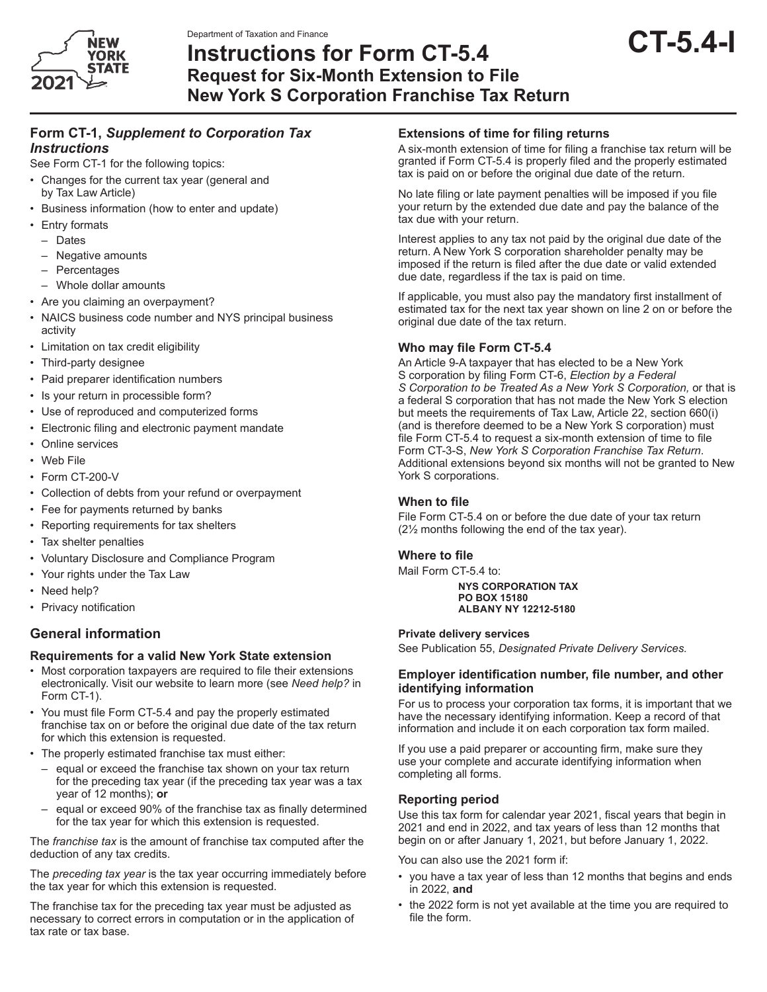



# Department of Taxation and Finance<br>Instructions for Form CT-5.4 **CT-5.4**-1 **Request for Six-Month Extension to File New York S Corporation Franchise Tax Return**

# **Form CT-1,** *Supplement to Corporation Tax Instructions*

See Form CT-1 for the following topics:

- Changes for the current tax year (general and by Tax Law Article)
- Business information (how to enter and update)
- Entry formats
	- Dates
	- Negative amounts
	- **Percentages**
	- Whole dollar amounts
- Are you claiming an overpayment?
- NAICS business code number and NYS principal business activity
- Limitation on tax credit eligibility
- Third-party designee
- • Paid preparer identification numbers
- Is your return in processible form?
- Use of reproduced and computerized forms
- • Electronic filing and electronic payment mandate
- Online services
- Web File
- Form CT-200-V
- Collection of debts from your refund or overpayment
- Fee for payments returned by banks
- Reporting requirements for tax shelters
- Tax shelter penalties
- Voluntary Disclosure and Compliance Program
- Your rights under the Tax Law
- Need help?
- • Privacy notification

# **General information**

#### **Requirements for a valid New York State extension**

- Most corporation taxpayers are required to file their extensions electronically. Visit our website to learn more (see *Need help?* in Form CT-1).
- • You must file Form CT-5.4 and pay the properly estimated franchise tax on or before the original due date of the tax return for which this extension is requested.
- The properly estimated franchise tax must either:
	- equal or exceed the franchise tax shown on your tax return for the preceding tax year (if the preceding tax year was a tax year of 12 months); **or**
	- equal or exceed 90% of the franchise tax as finally determined for the tax year for which this extension is requested.

The *franchise tax* is the amount of franchise tax computed after the deduction of any tax credits.

The *preceding tax year* is the tax year occurring immediately before the tax year for which this extension is requested.

The franchise tax for the preceding tax year must be adjusted as necessary to correct errors in computation or in the application of tax rate or tax base.

# **Extensions of time for filing returns**

A six-month extension of time for filing a franchise tax return will be granted if Form CT-5.4 is properly filed and the properly estimated tax is paid on or before the original due date of the return.

No late filing or late payment penalties will be imposed if you file your return by the extended due date and pay the balance of the tax due with your return.

Interest applies to any tax not paid by the original due date of the return. A New York S corporation shareholder penalty may be imposed if the return is filed after the due date or valid extended due date, regardless if the tax is paid on time.

If applicable, you must also pay the mandatory first installment of estimated tax for the next tax year shown on line 2 on or before the original due date of the tax return.

#### **Who may file Form CT-5.4**

An Article 9-A taxpayer that has elected to be a New York S corporation by filing Form CT-6, *Election by a Federal S Corporation to be Treated As a New York S Corporation,* or that is a federal S corporation that has not made the New York S election but meets the requirements of Tax Law, Article 22, section 660(i) (and is therefore deemed to be a New York S corporation) must file Form CT-5.4 to request a six-month extension of time to file Form CT-3-S, *New York S Corporation Franchise Tax Return*. Additional extensions beyond six months will not be granted to New York S corporations.

#### **When to file**

File Form CT-5.4 on or before the due date of your tax return (2½ months following the end of the tax year).

#### **Where to file**

Mail Form CT-5.4 to:

**NYS CORPORATION TAX PO BOX 15180 ALBANY NY 12212-5180**

#### **Private delivery services**

See Publication 55, *Designated Private Delivery Services.*

#### **Employer identification number, file number, and other identifying information**

For us to process your corporation tax forms, it is important that we have the necessary identifying information. Keep a record of that information and include it on each corporation tax form mailed.

If you use a paid preparer or accounting firm, make sure they use your complete and accurate identifying information when completing all forms.

## **Reporting period**

Use this tax form for calendar year 2021, fiscal years that begin in 2021 and end in 2022, and tax years of less than 12 months that begin on or after January 1, 2021, but before January 1, 2022.

You can also use the 2021 form if:

- you have a tax year of less than 12 months that begins and ends in 2022, **and**
- the 2022 form is not yet available at the time you are required to file the form.